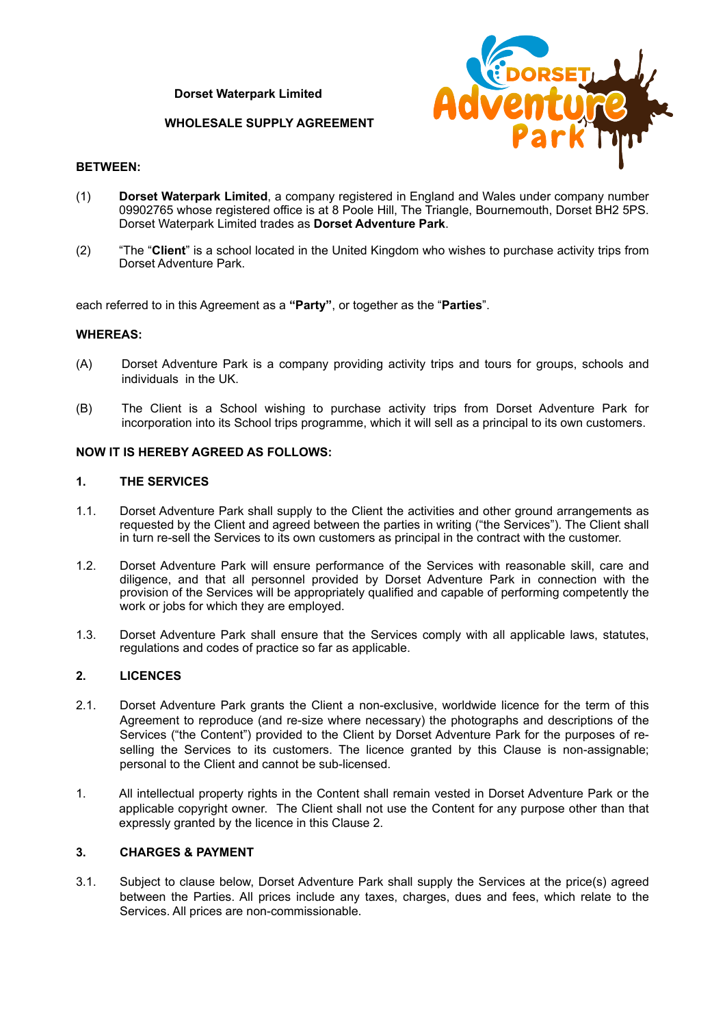**Dorset Waterpark Limited**

### **WHOLESALE SUPPLY AGREEMENT**



#### **BETWEEN:**

- (1) **Dorset Waterpark Limited**, a company registered in England and Wales under company number 09902765 whose registered office is at 8 Poole Hill, The Triangle, Bournemouth, Dorset BH2 5PS. Dorset Waterpark Limited trades as **Dorset Adventure Park**.
- (2) "The "**Client**" is a school located in the United Kingdom who wishes to purchase activity trips from Dorset Adventure Park.

each referred to in this Agreement as a **"Party"**, or together as the "**Parties**".

#### **WHEREAS:**

- (A) Dorset Adventure Park is a company providing activity trips and tours for groups, schools and individuals in the UK.
- (B) The Client is a School wishing to purchase activity trips from Dorset Adventure Park for incorporation into its School trips programme, which it will sell as a principal to its own customers.

### **NOW IT IS HEREBY AGREED AS FOLLOWS:**

#### **1. THE SERVICES**

- 1.1. Dorset Adventure Park shall supply to the Client the activities and other ground arrangements as requested by the Client and agreed between the parties in writing ("the Services"). The Client shall in turn re-sell the Services to its own customers as principal in the contract with the customer.
- 1.2. Dorset Adventure Park will ensure performance of the Services with reasonable skill, care and diligence, and that all personnel provided by Dorset Adventure Park in connection with the provision of the Services will be appropriately qualified and capable of performing competently the work or jobs for which they are employed.
- 1.3. Dorset Adventure Park shall ensure that the Services comply with all applicable laws, statutes, regulations and codes of practice so far as applicable.

### <span id="page-0-0"></span>**2. LICENCES**

- 2.1. Dorset Adventure Park grants the Client a non-exclusive, worldwide licence for the term of this Agreement to reproduce (and re-size where necessary) the photographs and descriptions of the Services ("the Content") provided to the Client by Dorset Adventure Park for the purposes of reselling the Services to its customers. The licence granted by this Clause is non-assignable; personal to the Client and cannot be sub-licensed.
- 1. All intellectual property rights in the Content shall remain vested in Dorset Adventure Park or the applicable copyright owner. The Client shall not use the Content for any purpose other than that expressly granted by the licence in this Clause [2.](#page-0-0)

### <span id="page-0-1"></span>**3. CHARGES & PAYMENT**

3.1. Subject to clause below, Dorset Adventure Park shall supply the Services at the price(s) agreed between the Parties. All prices include any taxes, charges, dues and fees, which relate to the Services. All prices are non-commissionable.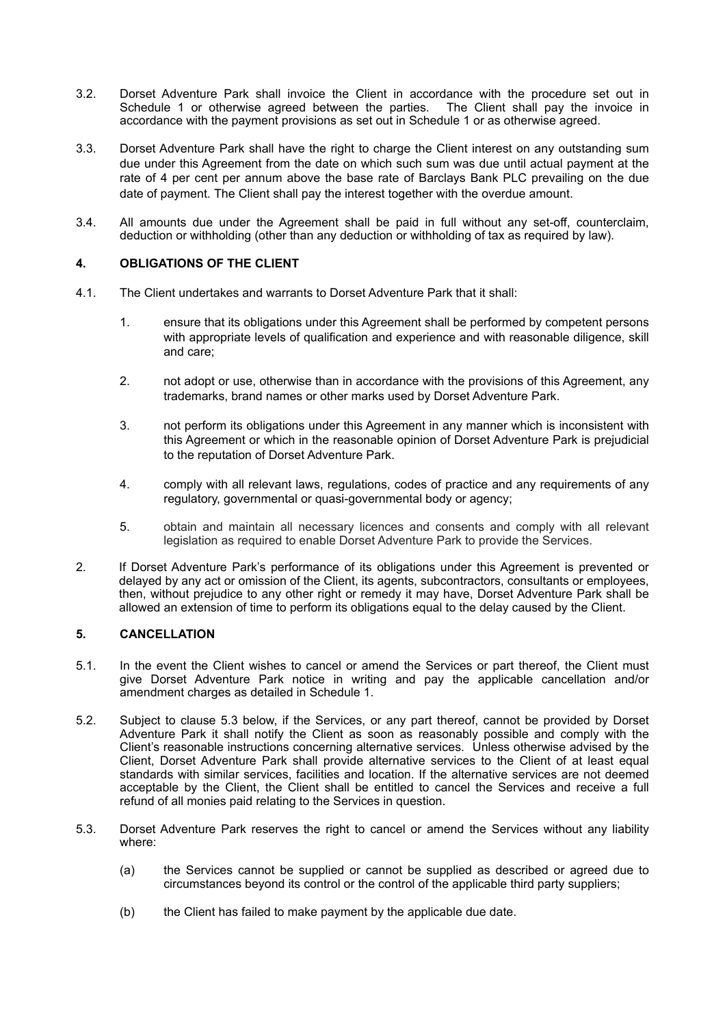- 3.2. Dorset Adventure Park shall invoice the Client in accordance with the procedure set out in Schedule 1 or otherwise agreed between the parties. The Client shall pay the invoice in accordance with the payment provisions as set out in Schedule 1 or as otherwise agreed.
- 3.3. Dorset Adventure Park shall have the right to charge the Client interest on any outstanding sum due under this Agreement from the date on which such sum was due until actual payment at the rate of 4 per cent per annum above the base rate of Barclays Bank PLC prevailing on the due date of payment. The Client shall pay the interest together with the overdue amount.
- 3.4. All amounts due under the Agreement shall be paid in full without any set-off, counterclaim, deduction or withholding (other than any deduction or withholding of tax as required by law).

## **4. OBLIGATIONS OF THE CLIENT**

- 4.1. The Client undertakes and warrants to Dorset Adventure Park that it shall:
	- 1. ensure that its obligations under this Agreement shall be performed by competent persons with appropriate levels of qualification and experience and with reasonable diligence, skill and care;
	- 2. not adopt or use, otherwise than in accordance with the provisions of this Agreement, any trademarks, brand names or other marks used by Dorset Adventure Park.
	- 3. not perform its obligations under this Agreement in any manner which is inconsistent with this Agreement or which in the reasonable opinion of Dorset Adventure Park is prejudicial to the reputation of Dorset Adventure Park.
	- 4. comply with all relevant laws, regulations, codes of practice and any requirements of any regulatory, governmental or quasi-governmental body or agency;
	- 5. obtain and maintain all necessary licences and consents and comply with all relevant legislation as required to enable Dorset Adventure Park to provide the Services.
- 2. If Dorset Adventure Park's performance of its obligations under this Agreement is prevented or delayed by any act or omission of the Client, its agents, subcontractors, consultants or employees, then, without prejudice to any other right or remedy it may have, Dorset Adventure Park shall be allowed an extension of time to perform its obligations equal to the delay caused by the Client.

## **5. CANCELLATION**

- 5.1. In the event the Client wishes to cancel or amend the Services or part thereof, the Client must give Dorset Adventure Park notice in writing and pay the applicable cancellation and/or amendment charges as detailed in Schedule 1.
- 5.2. Subject to clause [5.3](#page-1-0) below, if the Services, or any part thereof, cannot be provided by Dorset Adventure Park it shall notify the Client as soon as reasonably possible and comply with the Client's reasonable instructions concerning alternative services. Unless otherwise advised by the Client, Dorset Adventure Park shall provide alternative services to the Client of at least equal standards with similar services, facilities and location. If the alternative services are not deemed acceptable by the Client, the Client shall be entitled to cancel the Services and receive a full refund of all monies paid relating to the Services in question.
- <span id="page-1-0"></span>5.3. Dorset Adventure Park reserves the right to cancel or amend the Services without any liability where:
	- (a) the Services cannot be supplied or cannot be supplied as described or agreed due to circumstances beyond its control or the control of the applicable third party suppliers;
	- (b) the Client has failed to make payment by the applicable due date.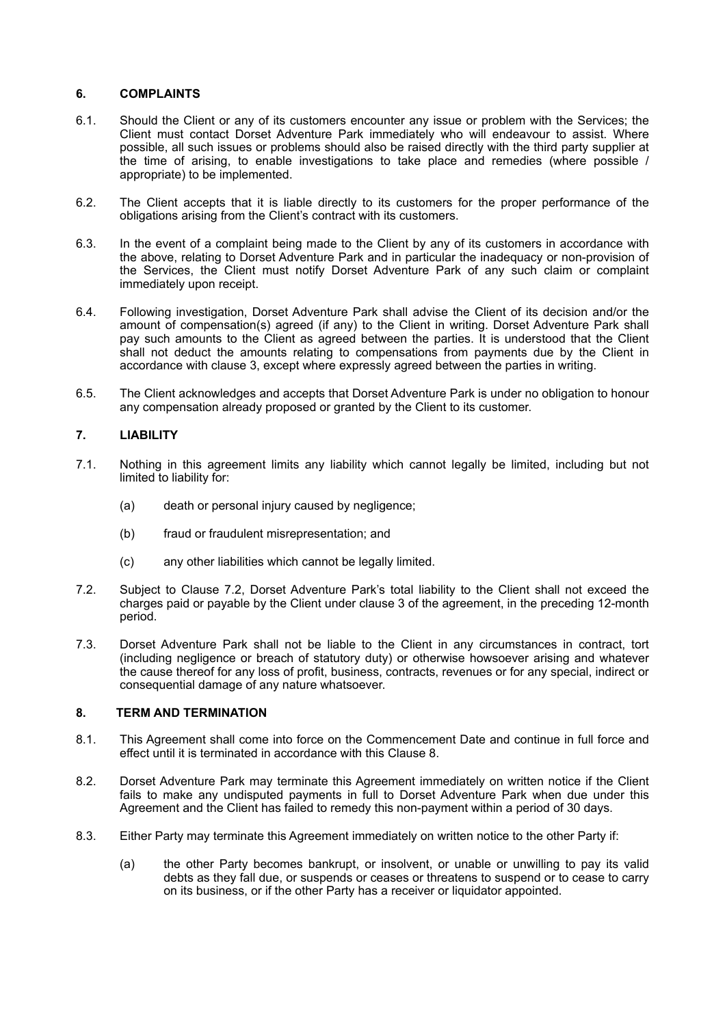## **6. COMPLAINTS**

- 6.1. Should the Client or any of its customers encounter any issue or problem with the Services; the Client must contact Dorset Adventure Park immediately who will endeavour to assist. Where possible, all such issues or problems should also be raised directly with the third party supplier at the time of arising, to enable investigations to take place and remedies (where possible / appropriate) to be implemented.
- 6.2. The Client accepts that it is liable directly to its customers for the proper performance of the obligations arising from the Client's contract with its customers.
- 6.3. In the event of a complaint being made to the Client by any of its customers in accordance with the above, relating to Dorset Adventure Park and in particular the inadequacy or non-provision of the Services, the Client must notify Dorset Adventure Park of any such claim or complaint immediately upon receipt.
- 6.4. Following investigation, Dorset Adventure Park shall advise the Client of its decision and/or the amount of compensation(s) agreed (if any) to the Client in writing. Dorset Adventure Park shall pay such amounts to the Client as agreed between the parties. It is understood that the Client shall not deduct the amounts relating to compensations from payments due by the Client in accordance with clause [3,](#page-0-1) except where expressly agreed between the parties in writing.
- 6.5. The Client acknowledges and accepts that Dorset Adventure Park is under no obligation to honour any compensation already proposed or granted by the Client to its customer.

# **7. LIABILITY**

- 7.1. Nothing in this agreement limits any liability which cannot legally be limited, including but not limited to liability for:
	- (a) death or personal injury caused by negligence;
	- (b) fraud or fraudulent misrepresentation; and
	- (c) any other liabilities which cannot be legally limited.
- 7.2. Subject to Clause 7.2, Dorset Adventure Park's total liability to the Client shall not exceed the charges paid or payable by the Client under clause 3 of the agreement, in the preceding 12-month period.
- 7.3. Dorset Adventure Park shall not be liable to the Client in any circumstances in contract, tort (including negligence or breach of statutory duty) or otherwise howsoever arising and whatever the cause thereof for any loss of profit, business, contracts, revenues or for any special, indirect or consequential damage of any nature whatsoever.

# <span id="page-2-0"></span>**8. TERM AND TERMINATION**

- 8.1. This Agreement shall come into force on the Commencement Date and continue in full force and effect until it is terminated in accordance with this Clause [8.](#page-2-0)
- 8.2. Dorset Adventure Park may terminate this Agreement immediately on written notice if the Client fails to make any undisputed payments in full to Dorset Adventure Park when due under this Agreement and the Client has failed to remedy this non-payment within a period of 30 days.
- 8.3. Either Party may terminate this Agreement immediately on written notice to the other Party if:
	- (a) the other Party becomes bankrupt, or insolvent, or unable or unwilling to pay its valid debts as they fall due, or suspends or ceases or threatens to suspend or to cease to carry on its business, or if the other Party has a receiver or liquidator appointed.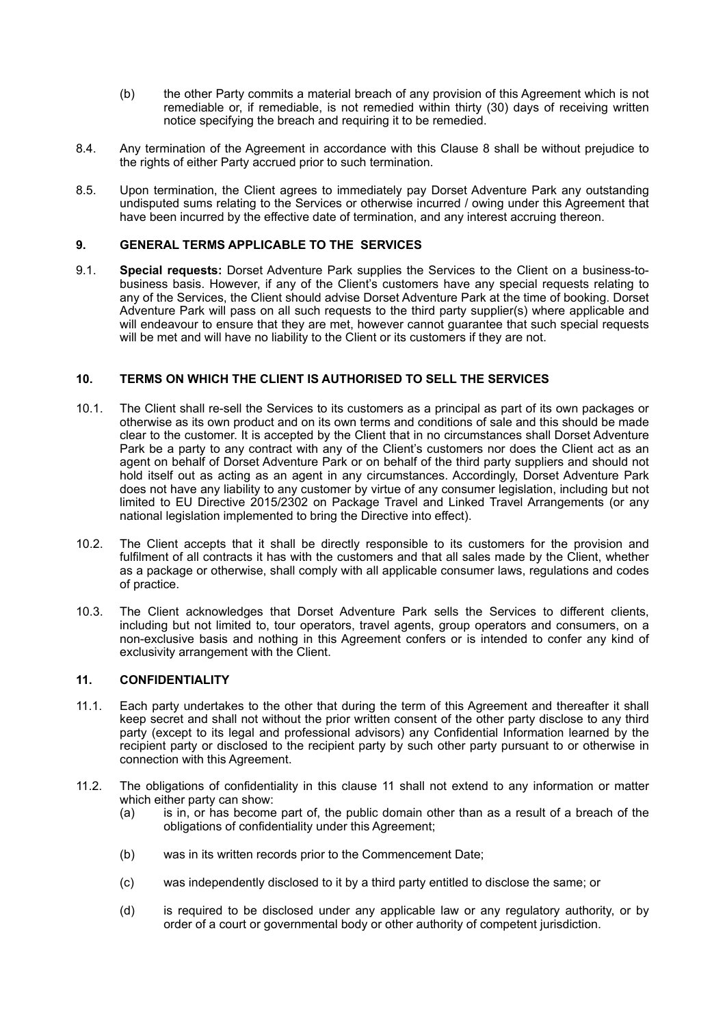- (b) the other Party commits a material breach of any provision of this Agreement which is not remediable or, if remediable, is not remedied within thirty (30) days of receiving written notice specifying the breach and requiring it to be remedied.
- 8.4. Any termination of the Agreement in accordance with this Clause [8](#page-2-0) shall be without prejudice to the rights of either Party accrued prior to such termination.
- 8.5. Upon termination, the Client agrees to immediately pay Dorset Adventure Park any outstanding undisputed sums relating to the Services or otherwise incurred / owing under this Agreement that have been incurred by the effective date of termination, and any interest accruing thereon.

## **9. GENERAL TERMS APPLICABLE TO THE SERVICES**

9.1. **Special requests:** Dorset Adventure Park supplies the Services to the Client on a business-tobusiness basis. However, if any of the Client's customers have any special requests relating to any of the Services, the Client should advise Dorset Adventure Park at the time of booking. Dorset Adventure Park will pass on all such requests to the third party supplier(s) where applicable and will endeavour to ensure that they are met, however cannot guarantee that such special requests will be met and will have no liability to the Client or its customers if they are not.

### **10. TERMS ON WHICH THE CLIENT IS AUTHORISED TO SELL THE SERVICES**

- 10.1. The Client shall re-sell the Services to its customers as a principal as part of its own packages or otherwise as its own product and on its own terms and conditions of sale and this should be made clear to the customer. It is accepted by the Client that in no circumstances shall Dorset Adventure Park be a party to any contract with any of the Client's customers nor does the Client act as an agent on behalf of Dorset Adventure Park or on behalf of the third party suppliers and should not hold itself out as acting as an agent in any circumstances. Accordingly, Dorset Adventure Park does not have any liability to any customer by virtue of any consumer legislation, including but not limited to EU Directive 2015/2302 on Package Travel and Linked Travel Arrangements (or any national legislation implemented to bring the Directive into effect).
- 10.2. The Client accepts that it shall be directly responsible to its customers for the provision and fulfilment of all contracts it has with the customers and that all sales made by the Client, whether as a package or otherwise, shall comply with all applicable consumer laws, regulations and codes of practice.
- 10.3. The Client acknowledges that Dorset Adventure Park sells the Services to different clients, including but not limited to, tour operators, travel agents, group operators and consumers, on a non-exclusive basis and nothing in this Agreement confers or is intended to confer any kind of exclusivity arrangement with the Client.

## <span id="page-3-0"></span>**11. CONFIDENTIALITY**

- 11.1. Each party undertakes to the other that during the term of this Agreement and thereafter it shall keep secret and shall not without the prior written consent of the other party disclose to any third party (except to its legal and professional advisors) any Confidential Information learned by the recipient party or disclosed to the recipient party by such other party pursuant to or otherwise in connection with this Agreement.
- 11.2. The obligations of confidentiality in this clause [11](#page-3-0) shall not extend to any information or matter which either party can show:
	- (a) is in, or has become part of, the public domain other than as a result of a breach of the obligations of confidentiality under this Agreement;
	- (b) was in its written records prior to the Commencement Date;
	- (c) was independently disclosed to it by a third party entitled to disclose the same; or
	- (d) is required to be disclosed under any applicable law or any regulatory authority, or by order of a court or governmental body or other authority of competent jurisdiction.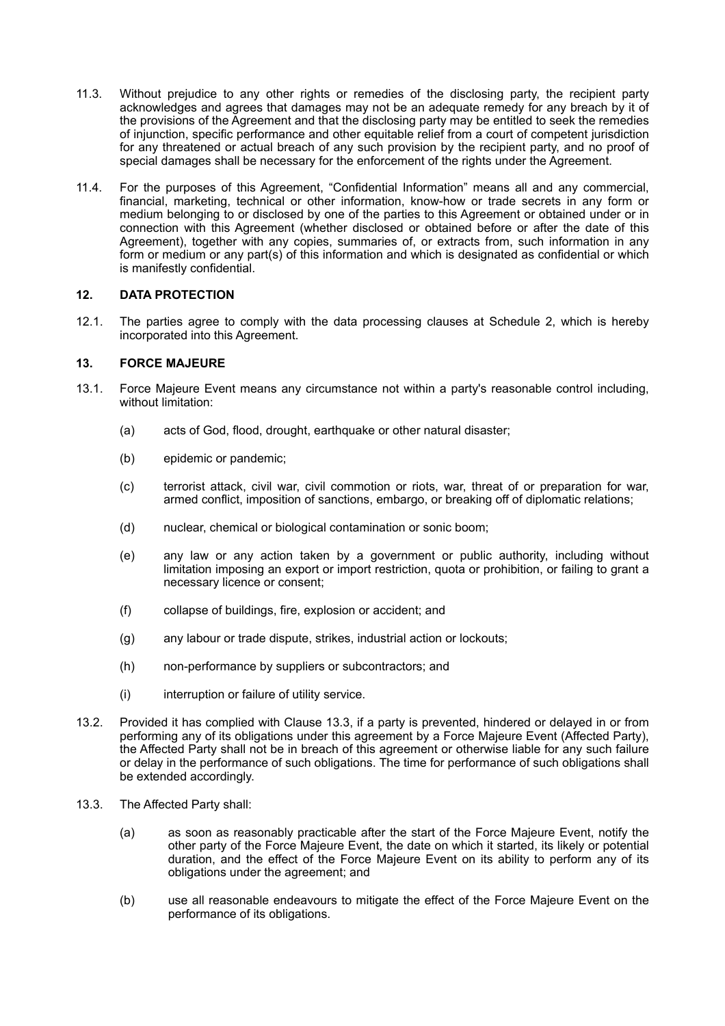- 11.3. Without prejudice to any other rights or remedies of the disclosing party, the recipient party acknowledges and agrees that damages may not be an adequate remedy for any breach by it of the provisions of the Agreement and that the disclosing party may be entitled to seek the remedies of injunction, specific performance and other equitable relief from a court of competent jurisdiction for any threatened or actual breach of any such provision by the recipient party, and no proof of special damages shall be necessary for the enforcement of the rights under the Agreement.
- 11.4. For the purposes of this Agreement, "Confidential Information" means all and any commercial, financial, marketing, technical or other information, know-how or trade secrets in any form or medium belonging to or disclosed by one of the parties to this Agreement or obtained under or in connection with this Agreement (whether disclosed or obtained before or after the date of this Agreement), together with any copies, summaries of, or extracts from, such information in any form or medium or any part(s) of this information and which is designated as confidential or which is manifestly confidential.

## **12. DATA PROTECTION**

12.1. The parties agree to comply with the data processing clauses at Schedule 2, which is hereby incorporated into this Agreement.

### **13. FORCE MAJEURE**

- 13.1. Force Majeure Event means any circumstance not within a party's reasonable control including, without limitation:
	- (a) acts of God, flood, drought, earthquake or other natural disaster;
	- (b) epidemic or pandemic;
	- (c) terrorist attack, civil war, civil commotion or riots, war, threat of or preparation for war, armed conflict, imposition of sanctions, embargo, or breaking off of diplomatic relations;
	- (d) nuclear, chemical or biological contamination or sonic boom;
	- (e) any law or any action taken by a government or public authority, including without limitation imposing an export or import restriction, quota or prohibition, or failing to grant a necessary licence or consent;
	- (f) collapse of buildings, fire, explosion or accident; and
	- (g) any labour or trade dispute, strikes, industrial action or lockouts;
	- (h) non-performance by suppliers or subcontractors; and
	- (i) interruption or failure of utility service.
- 13.2. Provided it has complied with Clause [13.3](#page-4-0), if a party is prevented, hindered or delayed in or from performing any of its obligations under this agreement by a Force Majeure Event (Affected Party), the Affected Party shall not be in breach of this agreement or otherwise liable for any such failure or delay in the performance of such obligations. The time for performance of such obligations shall be extended accordingly.
- <span id="page-4-0"></span>13.3. The Affected Party shall:
	- (a) as soon as reasonably practicable after the start of the Force Majeure Event, notify the other party of the Force Majeure Event, the date on which it started, its likely or potential duration, and the effect of the Force Majeure Event on its ability to perform any of its obligations under the agreement; and
	- (b) use all reasonable endeavours to mitigate the effect of the Force Majeure Event on the performance of its obligations.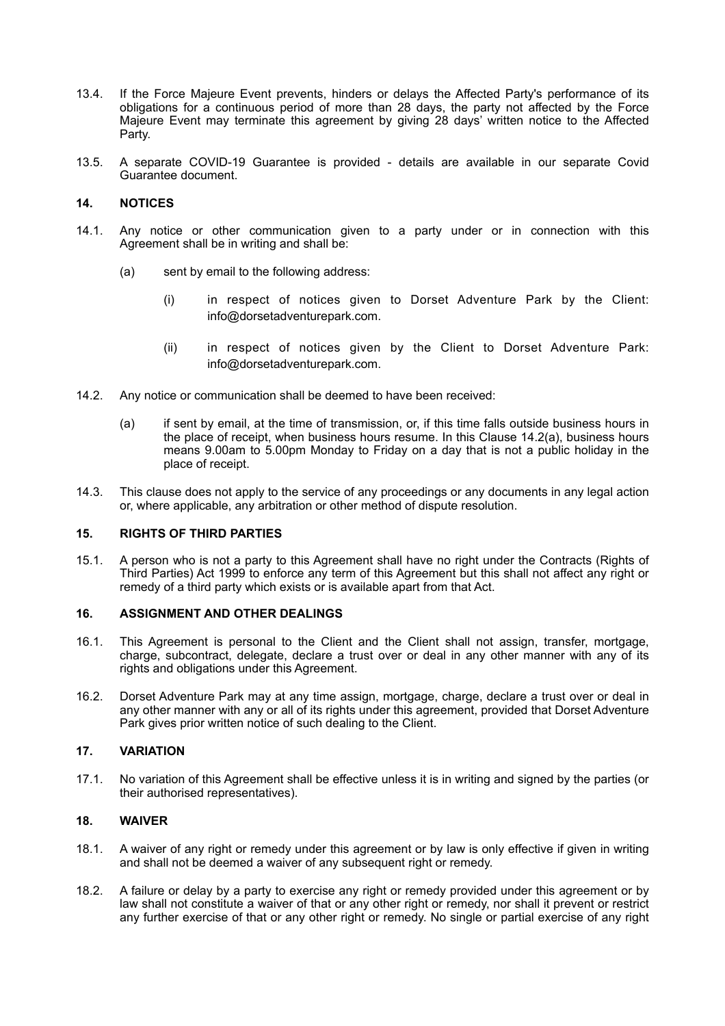- 13.4. If the Force Majeure Event prevents, hinders or delays the Affected Party's performance of its obligations for a continuous period of more than 28 days, the party not affected by the Force Majeure Event may terminate this agreement by giving 28 days' written notice to the Affected Party.
- 13.5. A separate COVID-19 Guarantee is provided details are available in our separate Covid Guarantee document.

### **14. NOTICES**

- 14.1. Any notice or other communication given to a party under or in connection with this Agreement shall be in writing and shall be:
	- (a) sent by email to the following address:
		- (i) in respect of notices given to Dorset Adventure Park by the Client: info@dorsetadventurepark.com.
		- (ii) in respect of notices given by the Client to Dorset Adventure Park: info@dorsetadventurepark.com.
- 14.2. Any notice or communication shall be deemed to have been received:
	- (a) if sent by email, at the time of transmission, or, if this time falls outside business hours in the place of receipt, when business hours resume. In this Clause 14.2(a), business hours means 9.00am to 5.00pm Monday to Friday on a day that is not a public holiday in the place of receipt.
- 14.3. This clause does not apply to the service of any proceedings or any documents in any legal action or, where applicable, any arbitration or other method of dispute resolution.

### **15. RIGHTS OF THIRD PARTIES**

15.1. A person who is not a party to this Agreement shall have no right under the Contracts (Rights of Third Parties) Act 1999 to enforce any term of this Agreement but this shall not affect any right or remedy of a third party which exists or is available apart from that Act.

### **16. ASSIGNMENT AND OTHER DEALINGS**

- 16.1. This Agreement is personal to the Client and the Client shall not assign, transfer, mortgage, charge, subcontract, delegate, declare a trust over or deal in any other manner with any of its rights and obligations under this Agreement.
- 16.2. Dorset Adventure Park may at any time assign, mortgage, charge, declare a trust over or deal in any other manner with any or all of its rights under this agreement, provided that Dorset Adventure Park gives prior written notice of such dealing to the Client.

### **17. VARIATION**

17.1. No variation of this Agreement shall be effective unless it is in writing and signed by the parties (or their authorised representatives).

## **18. WAIVER**

- 18.1. A waiver of any right or remedy under this agreement or by law is only effective if given in writing and shall not be deemed a waiver of any subsequent right or remedy.
- 18.2. A failure or delay by a party to exercise any right or remedy provided under this agreement or by law shall not constitute a waiver of that or any other right or remedy, nor shall it prevent or restrict any further exercise of that or any other right or remedy. No single or partial exercise of any right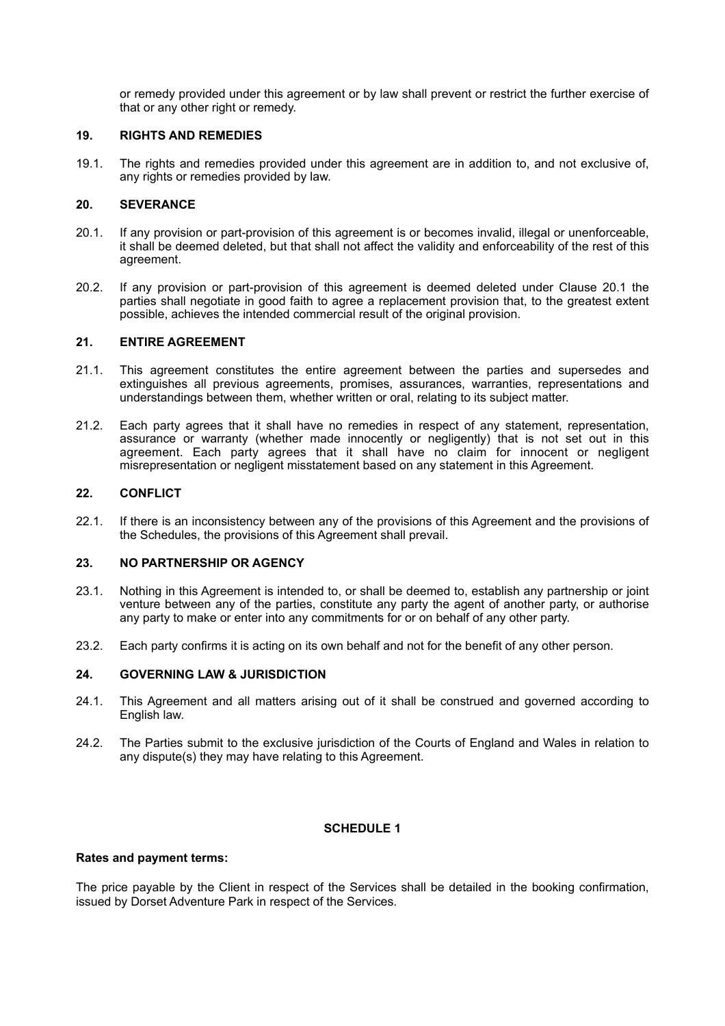or remedy provided under this agreement or by law shall prevent or restrict the further exercise of that or any other right or remedy.

### **19. RIGHTS AND REMEDIES**

19.1. The rights and remedies provided under this agreement are in addition to, and not exclusive of, any rights or remedies provided by law.

### **20. SEVERANCE**

- 20.1. If any provision or part-provision of this agreement is or becomes invalid, illegal or unenforceable, it shall be deemed deleted, but that shall not affect the validity and enforceability of the rest of this agreement.
- 20.2. If any provision or part-provision of this agreement is deemed deleted under Clause 20.1 the parties shall negotiate in good faith to agree a replacement provision that, to the greatest extent possible, achieves the intended commercial result of the original provision.

### **21. ENTIRE AGREEMENT**

- 21.1. This agreement constitutes the entire agreement between the parties and supersedes and extinguishes all previous agreements, promises, assurances, warranties, representations and understandings between them, whether written or oral, relating to its subject matter.
- 21.2. Each party agrees that it shall have no remedies in respect of any statement, representation, assurance or warranty (whether made innocently or negligently) that is not set out in this agreement. Each party agrees that it shall have no claim for innocent or negligent misrepresentation or negligent misstatement based on any statement in this Agreement.

### **22. CONFLICT**

22.1. If there is an inconsistency between any of the provisions of this Agreement and the provisions of the Schedules, the provisions of this Agreement shall prevail.

### **23. NO PARTNERSHIP OR AGENCY**

- 23.1. Nothing in this Agreement is intended to, or shall be deemed to, establish any partnership or joint venture between any of the parties, constitute any party the agent of another party, or authorise any party to make or enter into any commitments for or on behalf of any other party.
- 23.2. Each party confirms it is acting on its own behalf and not for the benefit of any other person.

## **24. GOVERNING LAW & JURISDICTION**

- 24.1. This Agreement and all matters arising out of it shall be construed and governed according to English law.
- 24.2. The Parties submit to the exclusive jurisdiction of the Courts of England and Wales in relation to any dispute(s) they may have relating to this Agreement.

## **SCHEDULE 1**

#### **Rates and payment terms:**

The price payable by the Client in respect of the Services shall be detailed in the booking confirmation, issued by Dorset Adventure Park in respect of the Services.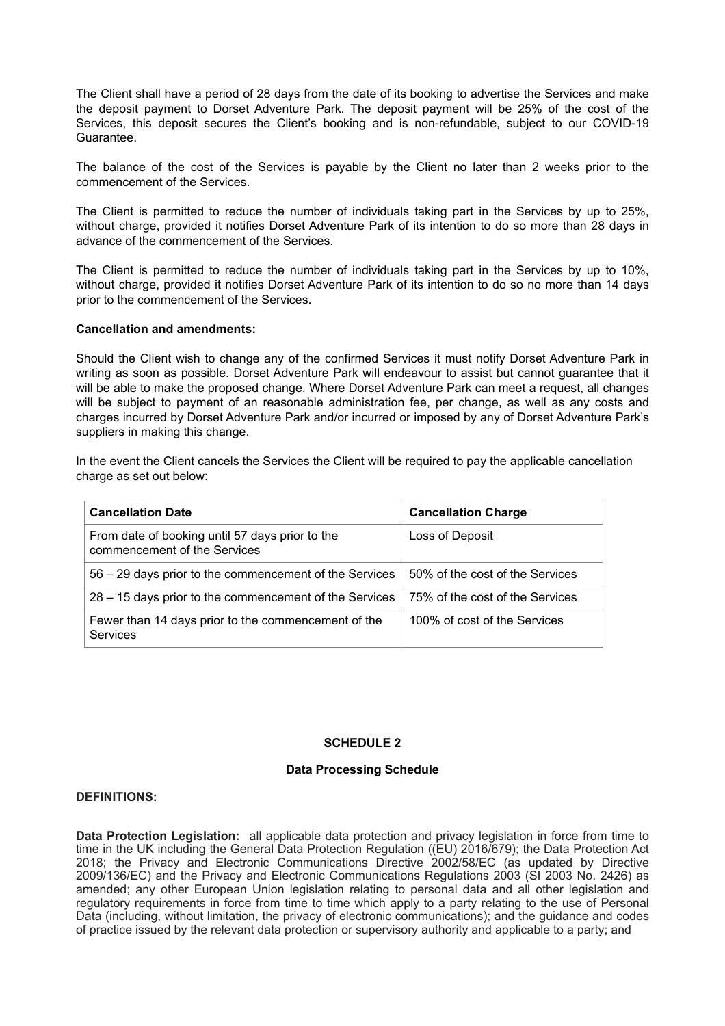The Client shall have a period of 28 days from the date of its booking to advertise the Services and make the deposit payment to Dorset Adventure Park. The deposit payment will be 25% of the cost of the Services, this deposit secures the Client's booking and is non-refundable, subject to our COVID-19 Guarantee.

The balance of the cost of the Services is payable by the Client no later than 2 weeks prior to the commencement of the Services.

The Client is permitted to reduce the number of individuals taking part in the Services by up to 25%, without charge, provided it notifies Dorset Adventure Park of its intention to do so more than 28 days in advance of the commencement of the Services.

The Client is permitted to reduce the number of individuals taking part in the Services by up to 10%, without charge, provided it notifies Dorset Adventure Park of its intention to do so no more than 14 days prior to the commencement of the Services.

#### **Cancellation and amendments:**

Should the Client wish to change any of the confirmed Services it must notify Dorset Adventure Park in writing as soon as possible. Dorset Adventure Park will endeavour to assist but cannot guarantee that it will be able to make the proposed change. Where Dorset Adventure Park can meet a request, all changes will be subject to payment of an reasonable administration fee, per change, as well as any costs and charges incurred by Dorset Adventure Park and/or incurred or imposed by any of Dorset Adventure Park's suppliers in making this change.

In the event the Client cancels the Services the Client will be required to pay the applicable cancellation charge as set out below:

| <b>Cancellation Date</b>                                                        | <b>Cancellation Charge</b>      |
|---------------------------------------------------------------------------------|---------------------------------|
| From date of booking until 57 days prior to the<br>commencement of the Services | Loss of Deposit                 |
| 56 – 29 days prior to the commencement of the Services                          | 50% of the cost of the Services |
| 28 – 15 days prior to the commencement of the Services                          | 75% of the cost of the Services |
| Fewer than 14 days prior to the commencement of the<br><b>Services</b>          | 100% of cost of the Services    |

#### **SCHEDULE 2**

#### **Data Processing Schedule**

#### **DEFINITIONS:**

**Data Protection Legislation:** all applicable data protection and privacy legislation in force from time to time in the UK including the General Data Protection Regulation ((EU) 2016/679); the Data Protection Act 2018; the Privacy and Electronic Communications Directive 2002/58/EC (as updated by Directive 2009/136/EC) and the Privacy and Electronic Communications Regulations 2003 (SI 2003 No. 2426) as amended; any other European Union legislation relating to personal data and all other legislation and regulatory requirements in force from time to time which apply to a party relating to the use of Personal Data (including, without limitation, the privacy of electronic communications); and the guidance and codes of practice issued by the relevant data protection or supervisory authority and applicable to a party; and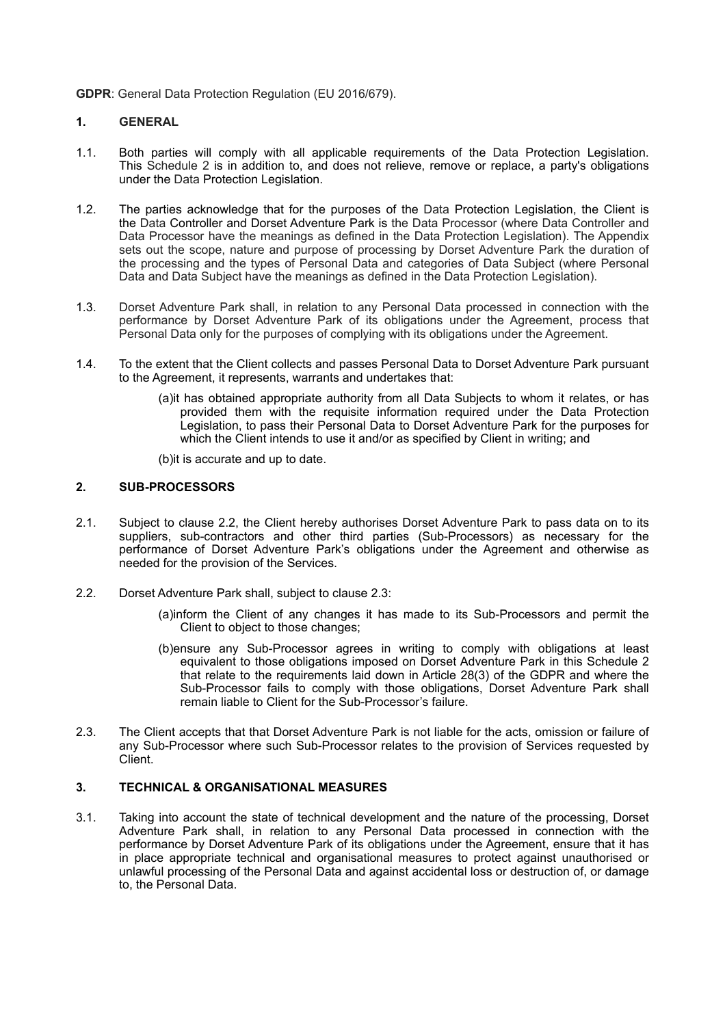**GDPR**: General Data Protection Regulation (EU 2016/679).

### **1. GENERAL**

- 1.1. Both parties will comply with all applicable requirements of the Data Protection Legislation. This Schedule 2 is in addition to, and does not relieve, remove or replace, a party's obligations under the Data Protection Legislation.
- 1.2. The parties acknowledge that for the purposes of the Data Protection Legislation, the Client is the Data Controller and Dorset Adventure Park is the Data Processor (where Data Controller and Data Processor have the meanings as defined in the Data Protection Legislation). The Appendix sets out the scope, nature and purpose of processing by Dorset Adventure Park the duration of the processing and the types of Personal Data and categories of Data Subject (where Personal Data and Data Subject have the meanings as defined in the Data Protection Legislation).
- 1.3. Dorset Adventure Park shall, in relation to any Personal Data processed in connection with the performance by Dorset Adventure Park of its obligations under the Agreement, process that Personal Data only for the purposes of complying with its obligations under the Agreement.
- 1.4. To the extent that the Client collects and passes Personal Data to Dorset Adventure Park pursuant to the Agreement, it represents, warrants and undertakes that:
	- (a)it has obtained appropriate authority from all Data Subjects to whom it relates, or has provided them with the requisite information required under the Data Protection Legislation, to pass their Personal Data to Dorset Adventure Park for the purposes for which the Client intends to use it and/or as specified by Client in writing; and

(b)it is accurate and up to date.

### **2. SUB-PROCESSORS**

- 2.1. Subject to clause 2.2, the Client hereby authorises Dorset Adventure Park to pass data on to its suppliers, sub-contractors and other third parties (Sub-Processors) as necessary for the performance of Dorset Adventure Park's obligations under the Agreement and otherwise as needed for the provision of the Services.
- 2.2. Dorset Adventure Park shall, subject to clause 2.3:
	- (a)inform the Client of any changes it has made to its Sub-Processors and permit the Client to object to those changes;
	- (b)ensure any Sub-Processor agrees in writing to comply with obligations at least equivalent to those obligations imposed on Dorset Adventure Park in this Schedule 2 that relate to the requirements laid down in Article 28(3) of the GDPR and where the Sub-Processor fails to comply with those obligations, Dorset Adventure Park shall remain liable to Client for the Sub-Processor's failure.
- 2.3. The Client accepts that that Dorset Adventure Park is not liable for the acts, omission or failure of any Sub-Processor where such Sub-Processor relates to the provision of Services requested by Client.

## **3. TECHNICAL & ORGANISATIONAL MEASURES**

3.1. Taking into account the state of technical development and the nature of the processing, Dorset Adventure Park shall, in relation to any Personal Data processed in connection with the performance by Dorset Adventure Park of its obligations under the Agreement, ensure that it has in place appropriate technical and organisational measures to protect against unauthorised or unlawful processing of the Personal Data and against accidental loss or destruction of, or damage to, the Personal Data.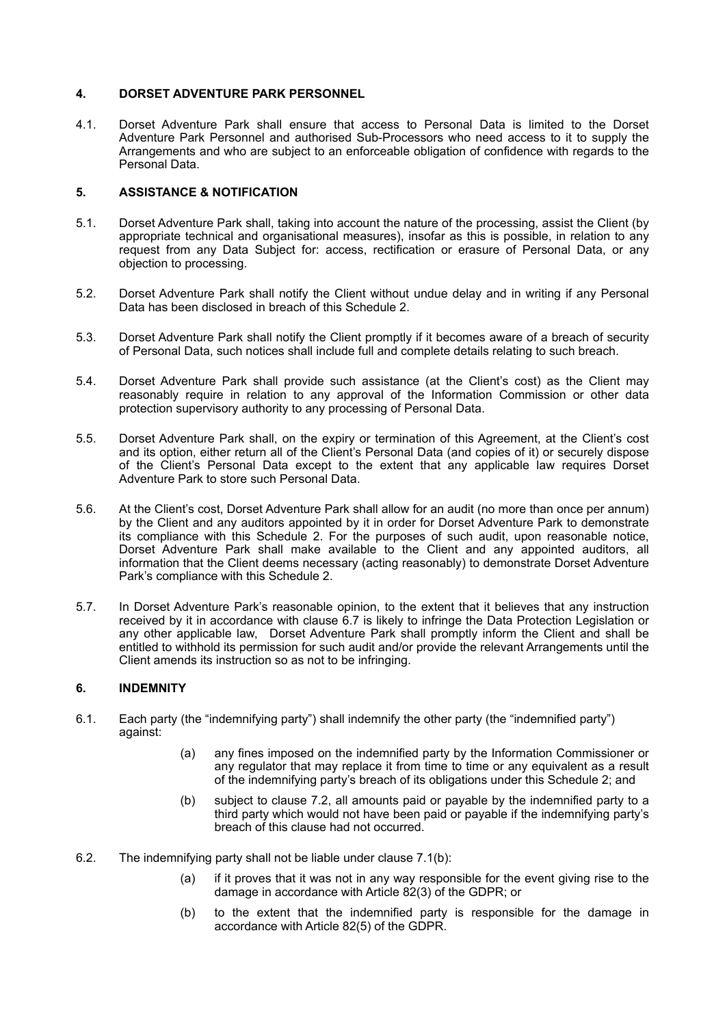### **4. DORSET ADVENTURE PARK PERSONNEL**

4.1. Dorset Adventure Park shall ensure that access to Personal Data is limited to the Dorset Adventure Park Personnel and authorised Sub-Processors who need access to it to supply the Arrangements and who are subject to an enforceable obligation of confidence with regards to the Personal Data.

### **5. ASSISTANCE & NOTIFICATION**

- 5.1. Dorset Adventure Park shall, taking into account the nature of the processing, assist the Client (by appropriate technical and organisational measures), insofar as this is possible, in relation to any request from any Data Subject for: access, rectification or erasure of Personal Data, or any objection to processing.
- 5.2. Dorset Adventure Park shall notify the Client without undue delay and in writing if any Personal Data has been disclosed in breach of this Schedule 2.
- 5.3. Dorset Adventure Park shall notify the Client promptly if it becomes aware of a breach of security of Personal Data, such notices shall include full and complete details relating to such breach.
- 5.4. Dorset Adventure Park shall provide such assistance (at the Client's cost) as the Client may reasonably require in relation to any approval of the Information Commission or other data protection supervisory authority to any processing of Personal Data.
- 5.5. Dorset Adventure Park shall, on the expiry or termination of this Agreement, at the Client's cost and its option, either return all of the Client's Personal Data (and copies of it) or securely dispose of the Client's Personal Data except to the extent that any applicable law requires Dorset Adventure Park to store such Personal Data.
- 5.6. At the Client's cost, Dorset Adventure Park shall allow for an audit (no more than once per annum) by the Client and any auditors appointed by it in order for Dorset Adventure Park to demonstrate its compliance with this Schedule 2. For the purposes of such audit, upon reasonable notice, Dorset Adventure Park shall make available to the Client and any appointed auditors, all information that the Client deems necessary (acting reasonably) to demonstrate Dorset Adventure Park's compliance with this Schedule 2.
- 5.7. In Dorset Adventure Park's reasonable opinion, to the extent that it believes that any instruction received by it in accordance with clause 6.7 is likely to infringe the Data Protection Legislation or any other applicable law, Dorset Adventure Park shall promptly inform the Client and shall be entitled to withhold its permission for such audit and/or provide the relevant Arrangements until the Client amends its instruction so as not to be infringing.

### **6. INDEMNITY**

- 6.1. Each party (the "indemnifying party") shall indemnify the other party (the "indemnified party") against:
	- (a) any fines imposed on the indemnified party by the Information Commissioner or any regulator that may replace it from time to time or any equivalent as a result of the indemnifying party's breach of its obligations under this Schedule 2; and
	- (b) subject to clause 7.2, all amounts paid or payable by the indemnified party to a third party which would not have been paid or payable if the indemnifying party's breach of this clause had not occurred.
- 6.2. The indemnifying party shall not be liable under clause 7.1(b):
	- (a) if it proves that it was not in any way responsible for the event giving rise to the damage in accordance with Article 82(3) of the GDPR; or
	- (b) to the extent that the indemnified party is responsible for the damage in accordance with Article 82(5) of the GDPR.